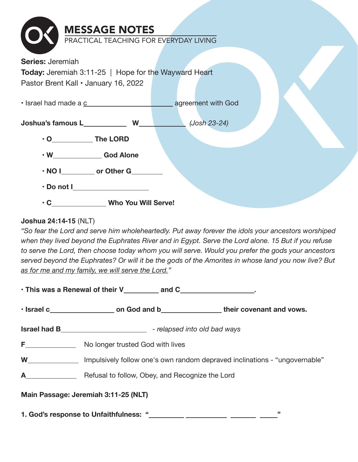| <b>MESSAGE NOTES</b>                                        |              |
|-------------------------------------------------------------|--------------|
| PRACTICAL TEACHING FOR EVERYDAY LIVING                      |              |
| <b>Series: Jeremiah</b>                                     |              |
|                                                             |              |
| <b>Today:</b> Jeremiah 3:11-25   Hope for the Wayward Heart |              |
| Pastor Brent Kall . January 16, 2022                        |              |
| • Israel had made a c and the state of agreement with God   |              |
|                                                             |              |
|                                                             | (Josh 23-24) |
| $\cdot$ O The LORD                                          |              |
| . W_______________God Alone                                 |              |
| • NOI control or Other G                                    |              |
| $\cdot$ Do not I_____________________                       |              |
| . C______________Who You Will Serve!                        |              |

#### **Joshua 24:14-15** (NLT)

*"So fear the Lord and serve him wholeheartedly. Put away forever the idols your ancestors worshiped when they lived beyond the Euphrates River and in Egypt. Serve the Lord alone. 15 But if you refuse to serve the Lord, then choose today whom you will serve. Would you prefer the gods your ancestors served beyond the Euphrates? Or will it be the gods of the Amorites in whose land you now live? But as for me and my family, we will serve the Lord."*

|                                                                                                                                                                                                                                     | • Israel c <b>b</b> on God and b <b>b</b> their covenant and vows.           |  |  |
|-------------------------------------------------------------------------------------------------------------------------------------------------------------------------------------------------------------------------------------|------------------------------------------------------------------------------|--|--|
|                                                                                                                                                                                                                                     | <b>Israel had B____________________________</b> - relapsed into old bad ways |  |  |
| <b>F Example 20</b>                                                                                                                                                                                                                 | No longer trusted God with lives                                             |  |  |
| <b>W</b> and the set of the set of the set of the set of the set of the set of the set of the set of the set of the set of the set of the set of the set of the set of the set of the set of the set of the set of the set of the s | Impulsively follow one's own random depraved inclinations - "ungovernable"   |  |  |
| $\mathbf A$                                                                                                                                                                                                                         | Refusal to follow, Obey, and Recognize the Lord                              |  |  |
| Main Passage: Jeremiah 3:11-25 (NLT)                                                                                                                                                                                                |                                                                              |  |  |
| "<br>1. God's response to Unfaithfulness: "                                                                                                                                                                                         |                                                                              |  |  |